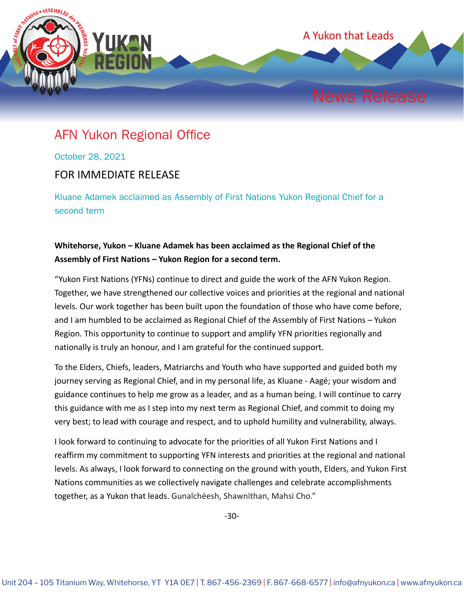

## AFN Yukon Regional Office

October 28, 2021

## FOR IMMEDIATE RELEASE

Kluane Adamek acclaimed as Assembly of First Nations Yukon Regional Chief for a second term

## **Whitehorse, Yukon – Kluane Adamek has been acclaimed as the Regional Chief of the Assembly of First Nations – Yukon Region for a second term.**

"Yukon First Nations (YFNs) continue to direct and guide the work of the AFN Yukon Region. Together, we have strengthened our collective voices and priorities at the regional and national levels. Our work together has been built upon the foundation of those who have come before, and I am humbled to be acclaimed as Regional Chief of the Assembly of First Nations – Yukon Region. This opportunity to continue to support and amplify YFN priorities regionally and nationally is truly an honour, and I am grateful for the continued support.

To the Elders, Chiefs, leaders, Matriarchs and Youth who have supported and guided both my journey serving as Regional Chief, and in my personal life, as Kluane - Aagé; your wisdom and guidance continues to help me grow as a leader, and as a human being. I will continue to carry this guidance with me as I step into my next term as Regional Chief, and commit to doing my very best; to lead with courage and respect, and to uphold humility and vulnerability, always.

I look forward to continuing to advocate for the priorities of all Yukon First Nations and I reaffirm my commitment to supporting YFN interests and priorities at the regional and national levels. As always, I look forward to connecting on the ground with youth, Elders, and Yukon First Nations communities as we collectively navigate challenges and celebrate accomplishments together, as a Yukon that leads. Gunalchéesh, Shawnïthan, Mahsi Cho."

-30-